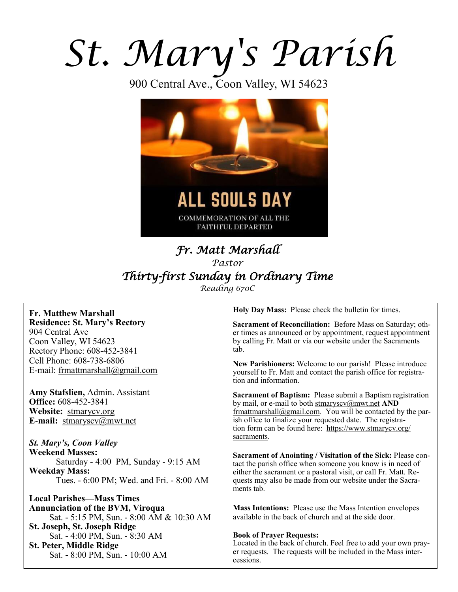# *St. Mary's Parish*

900 Central Ave., Coon Valley, WI 54623



# *Fr. Matt Marshall Pastor Thirty-first Sunday in Ordinary Time Reading 670C*

**Fr. Matthew Marshall Residence: St. Mary's Rectory** 904 Central Ave Coon Valley, WI 54623 Rectory Phone: 608-452-3841 Cell Phone: 608-738-6806 E-mail: [frmattmarshall@gmail.com](mailto:frmattmarshall@gmail.com)

**Amy Stafslien,** Admin. Assistant **Office:** 608-452-3841 **Website:** <stmarycv.org> **E-mail:** [stmaryscv@mwt.net](mailto:stmaryscv@mwt.net)

*St. Mary's, Coon Valley*  **Weekend Masses:** Saturday - 4:00 PM, Sunday - 9:15 AM **Weekday Mass:**  Tues. - 6:00 PM; Wed. and Fri. - 8:00 AM

**Local Parishes—Mass Times Annunciation of the BVM, Viroqua** Sat. - 5:15 PM, Sun. - 8:00 AM & 10:30 AM **St. Joseph, St. Joseph Ridge** Sat. - 4:00 PM, Sun. - 8:30 AM **St. Peter, Middle Ridge** Sat. - 8:00 PM, Sun. - 10:00 AM

**Holy Day Mass:** Please check the bulletin for times.

**Sacrament of Reconciliation:** Before Mass on Saturday; other times as announced or by appointment, request appointment by calling Fr. Matt or via our website under the Sacraments tab.

**New Parishioners:** Welcome to our parish! Please introduce yourself to Fr. Matt and contact the parish office for registration and information.

**Sacrament of Baptism:** Please submit a Baptism registration by mail, or e-mail to both [stmaryscv@mwt.net](mailto:stmaryscv@mwt.net) **AND** [frmattmarshall@gmail.com](mailto:frmattmarshall@gmail.com)*.* You will be contacted by the parish office to finalize your requested date. The registration form can be found here: [https://www.stmarycv.org/](https://www.stmarycv.org/sacraments) [sacraments.](https://www.stmarycv.org/sacraments) 

**Sacrament of Anointing / Visitation of the Sick:** Please contact the parish office when someone you know is in need of either the sacrament or a pastoral visit, or call Fr. Matt. Requests may also be made from our website under the Sacraments tab.

**Mass Intentions:** Please use the Mass Intention envelopes available in the back of church and at the side door.

#### **Book of Prayer Requests:**

Located in the back of church. Feel free to add your own prayer requests. The requests will be included in the Mass intercessions.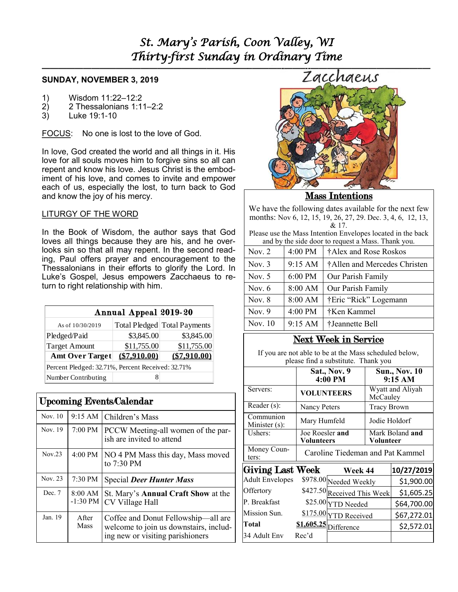# *St. Mary's Parish, Coon Valley, WI Thirty-first Sunday in Ordinary Time*

# **SUNDAY, NOVEMBER 3, 2019**

- 1) Wisdom 11:22–12:2
- 2) 2 Thessalonians 1:11–2:2
- 3) Luke 19:1-10

FOCUS: No one is lost to the love of God.

In love, God created the world and all things in it. His love for all souls moves him to forgive sins so all can repent and know his love. Jesus Christ is the embodiment of his love, and comes to invite and empower each of us, especially the lost, to turn back to God and know the joy of his mercy.

# LITURGY OF THE WORD

In the Book of Wisdom, the author says that God loves all things because they are his, and he overlooks sin so that all may repent. In the second reading, Paul offers prayer and encouragement to the Thessalonians in their efforts to glorify the Lord. In Luke's Gospel, Jesus empowers Zacchaeus to return to right relationship with him.

| Annual Appeal 2019-20                             |              |                              |  |  |  |  |
|---------------------------------------------------|--------------|------------------------------|--|--|--|--|
| As of 10/30/2019                                  |              | Total Pledged Total Payments |  |  |  |  |
| Pledged/Paid                                      | \$3,845.00   | \$3,845.00                   |  |  |  |  |
| <b>Target Amount</b>                              | \$11,755.00  | \$11,755.00                  |  |  |  |  |
| <b>Amt Over Target</b>                            | (\$7.910.00) | (\$7.910.00)                 |  |  |  |  |
| Percent Pledged: 32.71%, Percent Received: 32.71% |              |                              |  |  |  |  |
| Number Contributing                               |              |                              |  |  |  |  |

| <b>Upcoming Events/Calendar</b> |                       |                                                                                                                   |  |  |  |
|---------------------------------|-----------------------|-------------------------------------------------------------------------------------------------------------------|--|--|--|
| Nov. 10                         | $9:15 \text{ AM}$     | Children's Mass                                                                                                   |  |  |  |
| Nov. 19                         |                       | 7:00 PM   PCCW Meeting-all women of the par-<br>ish are invited to attend                                         |  |  |  |
| Nov.23                          | 4:00 PM               | NO 4 PM Mass this day, Mass moved<br>to 7:30 PM                                                                   |  |  |  |
| Nov. 23                         | 7:30 PM               | <b>Special Deer Hunter Mass</b>                                                                                   |  |  |  |
| Dec. 7                          | 8:00 AM<br>$-1:30$ PM | St. Mary's <b>Annual Craft Show</b> at the<br>CV Village Hall                                                     |  |  |  |
| Jan. 19                         | A fter<br>Mass        | Coffee and Donut Fellowship—all are<br>welcome to join us downstairs, includ-<br>ing new or visiting parishioners |  |  |  |





# Mass Intentions

We have the following dates available for the next few months: Nov 6, 12, 15, 19, 26, 27, 29. Dec. 3, 4, 6, 12, 13, & 17.

Please use the Mass Intention Envelopes located in the back and by the side door to request a Mass. Thank you.

| Nov. $2$  | 4:00 PM | †Alex and Rose Roskos        |
|-----------|---------|------------------------------|
| Nov. $3$  | 9:15 AM | †Allen and Mercedes Christen |
| Nov. $5$  | 6:00 PM | Our Parish Family            |
| Nov. $6$  | 8:00 AM | Our Parish Family            |
| Nov. $8$  | 8:00 AM | †Eric "Rick" Logemann        |
| Nov. $9$  | 4:00 PM | †Ken Kammel                  |
| Nov. $10$ | 9:15 AM | †Jeannette Bell              |
|           |         |                              |

# Next Week in Service

If you are not able to be at the Mass scheduled below, please find a substitute. Thank you

|                            | <b>Sat., Nov. 9</b><br>4:00 PM       |                             | <b>Sun., Nov. 10</b><br>9:15 AM     |                              |  |
|----------------------------|--------------------------------------|-----------------------------|-------------------------------------|------------------------------|--|
| Servers:                   |                                      | <b>VOLUNTEERS</b>           |                                     | Wyatt and Aliyah<br>McCauley |  |
| Reader (s):                |                                      | <b>Nancy Peters</b>         |                                     | Tracy Brown                  |  |
| Communion<br>Minister (s): | Mary Humfeld                         |                             | Jodie Holdorf                       |                              |  |
| Ushers:                    | Joe Roesler and<br><b>Volunteers</b> |                             | Mark Boland <b>and</b><br>Volunteer |                              |  |
| Money Coun-<br>ters:       | Caroline Tiedeman and Pat Kammel     |                             |                                     |                              |  |
| <b>Giving Last Week</b>    |                                      | Week 44                     |                                     | 10/27/2019                   |  |
| <b>Adult Envelopes</b>     |                                      | \$978.00 Needed Weekly      |                                     | \$1,900.00                   |  |
| Offertory                  |                                      | \$427.50 Received This Week |                                     | \$1,605.25                   |  |
| P. Breakfast               |                                      | \$25.00 YTD Needed          |                                     | \$64,700.00                  |  |
| Mission Sun.               |                                      | \$175.00 YTD Received       |                                     | \$67,272.01                  |  |
| Total                      |                                      | \$1,605.25 Difference       |                                     | \$2,572.01                   |  |
| 34 Adult Env               | Rec'd                                |                             |                                     |                              |  |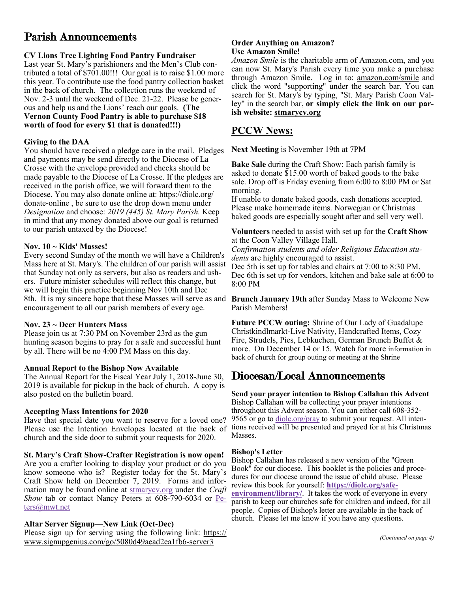# Parish Announcements

# **CV Lions Tree Lighting Food Pantry Fundraiser**

Last year St. Mary's parishioners and the Men's Club contributed a total of \$701.00!!! Our goal is to raise \$1.00 more this year. To contribute use the food pantry collection basket in the back of church. The collection runs the weekend of Nov. 2-3 until the weekend of Dec. 21-22. Please be generous and help us and the Lions' reach our goals. **(The Vernon County Food Pantry is able to purchase \$18 worth of food for every \$1 that is donated!!!)**

# **Giving to the DAA**

You should have received a pledge care in the mail. Pledges and payments may be send directly to the Diocese of La Crosse with the envelope provided and checks should be made payable to the Diocese of La Crosse. If the pledges are received in the parish office, we will forward them to the Diocese. You may also donate online at: https://diolc.org/ donate-online , be sure to use the drop down menu under *Designation* and choose: *2019 (445) St. Mary Parish.* Keep in mind that any money donated above our goal is returned to our parish untaxed by the Diocese!

# **Nov. 10 ~ Kids' Masses!**

Every second Sunday of the month we will have a Children's Mass here at St. Mary's. The children of our parish will assist that Sunday not only as servers, but also as readers and ushers. Future minister schedules will reflect this change, but we will begin this practice beginning Nov 10th and Dec 8th. It is my sincere hope that these Masses will serve as and **Brunch January 19th** after Sunday Mass to Welcome New encouragement to all our parish members of every age.

# **Nov. 23 ~ Deer Hunters Mass**

Please join us at 7:30 PM on November 23rd as the gun hunting season begins to pray for a safe and successful hunt by all. There will be no 4:00 PM Mass on this day.

# **Annual Report to the Bishop Now Available**

The Annual Report for the Fiscal Year July 1, 2018-June 30, 2019 is available for pickup in the back of church. A copy is also posted on the bulletin board.

# **Accepting Mass Intentions for 2020**

Have that special date you want to reserve for a loved one? Please use the Intention Envelopes located at the back of church and the side door to submit your requests for 2020.

# **St. Mary's Craft Show-Crafter Registration is now open!**

Are you a crafter looking to display your product or do you know someone who is? Register today for the St. Mary's Craft Show held on December 7, 2019. Forms and information may be found online at <stmarycv.org> under the *Craft Show* tab or contact Nancy Peters at 608-790-6034 or [Pe](mailto:Peters@mwt.net?subject=St.%20Mary)[ters@mwt.net](mailto:Peters@mwt.net?subject=St.%20Mary)

# **Altar Server Signup—New Link (Oct-Dec)**

Please sign up for serving using the following link: [https://](https://www.signupgenius.com/go/5080d49aead2ea1fb6-server3) [www.signupgenius.com/go/5080d49aead2ea1fb6-server3](https://www.signupgenius.com/go/5080d49aead2ea1fb6-server3)

#### **Order Anything on Amazon? Use Amazon Smile!**

*Amazon Smile* is the charitable arm of Amazon.com, and you can now St. Mary's Parish every time you make a purchase through Amazon Smile. Log in to: [amazon.com/smile](http://amazon.com/smile) and click the word "supporting" under the search bar. You can search for St. Mary's by typing, "St. Mary Parish Coon Valley" in the search bar, **or simply click the link on our parish website: <stmarycv.org>**

# **PCCW News:**

**Next Meeting** is November 19th at 7PM

**Bake Sale** during the Craft Show: Each parish family is asked to donate \$15.00 worth of baked goods to the bake sale. Drop off is Friday evening from 6:00 to 8:00 PM or Sat morning.

If unable to donate baked goods, cash donations accepted. Please make homemade items. Norwegian or Christmas baked goods are especially sought after and sell very well.

**Volunteers** needed to assist with set up for the **Craft Show**  at the Coon Valley Village Hall.

*Confirmation students and older Religious Education students* are highly encouraged to assist.

Dec 5th is set up for tables and chairs at 7:00 to 8:30 PM. Dec 6th is set up for vendors, kitchen and bake sale at 6:00 to 8:00 PM

Parish Members!

**Future PCCW outing:** Shrine of Our Lady of Guadalupe Christkindlmarkt-Live Nativity, Handcrafted Items, Cozy Fire, Strudels, Pies, Lebkuchen, German Brunch Buffet & more. On December 14 or 15. Watch for more information in back of church for group outing or meeting at the Shrine

# Diocesan/Local Announcements

**Send your prayer intention to Bishop Callahan this Advent** Bishop Callahan will be collecting your prayer intentions throughout this Advent season. You can either call 608-352- 9565 or go to diole.org/pray to submit your request. All intentions received will be presented and prayed for at his Christmas Masses.

# **Bishop's Letter**

Bishop Callahan has released a new version of the "Green Book<sup>"</sup> for our diocese. This booklet is the policies and procedures for our diocese around the issue of child abuse. Please review this book for yourself: **[https://diolc.org/safe-](https://diolc.org/safe-environment/library/)**

**[environment/library/](https://diolc.org/safe-environment/library/)**. It takes the work of everyone in every parish to keep our churches safe for children and indeed, for all people. Copies of Bishop's letter are available in the back of church. Please let me know if you have any questions.